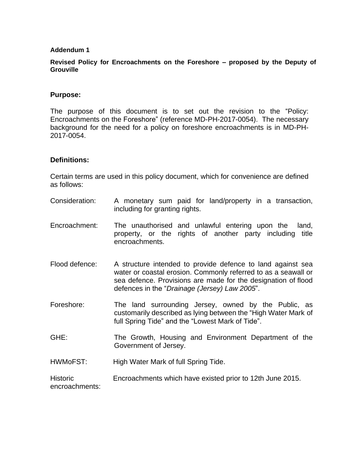#### **Addendum 1**

### **Revised Policy for Encroachments on the Foreshore – proposed by the Deputy of Grouville**

### **Purpose:**

The purpose of this document is to set out the revision to the "Policy: Encroachments on the Foreshore" (reference MD-PH-2017-0054). The necessary background for the need for a policy on foreshore encroachments is in MD-PH-2017-0054.

#### **Definitions:**

Certain terms are used in this policy document, which for convenience are defined as follows:

- Consideration: A monetary sum paid for land/property in a transaction, including for granting rights.
- Encroachment: The unauthorised and unlawful entering upon the [land,](http://www.businessdictionary.com/definition/land.html) [property,](http://www.businessdictionary.com/definition/property.html) or the rights of another party including title encroachments.
- Flood defence: A structure intended to provide defence to land against sea water or coastal erosion. Commonly referred to as a seawall or sea defence. Provisions are made for the designation of flood defences in the "*Drainage (Jersey) Law 2005*".
- Foreshore: The land surrounding Jersey, owned by the Public, as customarily described as lying between the "High Water Mark of full Spring Tide" and the "Lowest Mark of Tide".
- GHE: The Growth, Housing and Environment Department of the Government of Jersey.
- HWMoFST: High Water Mark of full Spring Tide.

**Historic** encroachments: Encroachments which have existed prior to 12th June 2015.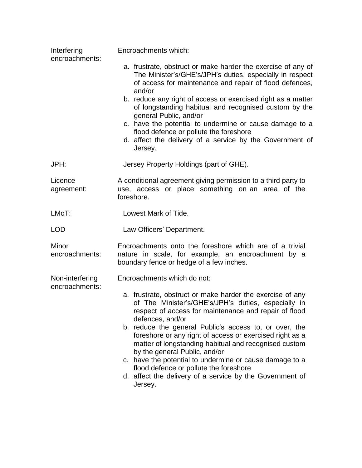| Interfering<br>encroachments:     | Encroachments which:                                                                                                                                                                                         |
|-----------------------------------|--------------------------------------------------------------------------------------------------------------------------------------------------------------------------------------------------------------|
|                                   | a. frustrate, obstruct or make harder the exercise of any of<br>The Minister's/GHE's/JPH's duties, especially in respect<br>of access for maintenance and repair of flood defences,<br>and/or                |
|                                   | b. reduce any right of access or exercised right as a matter<br>of longstanding habitual and recognised custom by the<br>general Public, and/or                                                              |
|                                   | c. have the potential to undermine or cause damage to a<br>flood defence or pollute the foreshore<br>d. affect the delivery of a service by the Government of<br>Jersey.                                     |
| JPH:                              | Jersey Property Holdings (part of GHE).                                                                                                                                                                      |
| Licence<br>agreement:             | A conditional agreement giving permission to a third party to<br>use, access or place something on an area of the<br>foreshore.                                                                              |
| LMoT:                             | Lowest Mark of Tide.                                                                                                                                                                                         |
| <b>LOD</b>                        | Law Officers' Department.                                                                                                                                                                                    |
| Minor<br>encroachments:           | Encroachments onto the foreshore which are of a trivial<br>nature in scale, for example, an encroachment by a<br>boundary fence or hedge of a few inches.                                                    |
| Non-interfering<br>encroachments: | Encroachments which do not:                                                                                                                                                                                  |
|                                   | a. frustrate, obstruct or make harder the exercise of any<br>of The Minister's/GHE's/JPH's duties, especially in<br>respect of access for maintenance and repair of flood<br>defences, and/or                |
|                                   | b. reduce the general Public's access to, or over, the<br>foreshore or any right of access or exercised right as a<br>matter of longstanding habitual and recognised custom<br>by the general Public, and/or |
|                                   | c. have the potential to undermine or cause damage to a<br>flood defence or pollute the foreshore<br>d. affect the delivery of a service by the Government of<br>Jersey.                                     |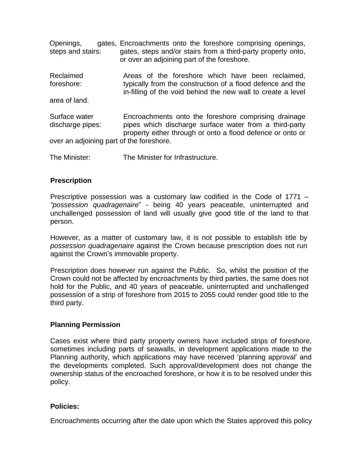| Openings,<br>steps and stairs:           | gates, Encroachments onto the foreshore comprising openings,<br>gates, steps and/or stairs from a third-party property onto,<br>or over an adjoining part of the foreshore.     |
|------------------------------------------|---------------------------------------------------------------------------------------------------------------------------------------------------------------------------------|
| Reclaimed<br>foreshore:                  | Areas of the foreshore which have been reclaimed,<br>typically from the construction of a flood defence and the<br>in-filling of the void behind the new wall to create a level |
| area of land.                            |                                                                                                                                                                                 |
| Surface water<br>discharge pipes:        | Encroachments onto the foreshore comprising drainage<br>pipes which discharge surface water from a third-party<br>property either through or onto a flood defence or onto or    |
| over an adjoining part of the foreshore. |                                                                                                                                                                                 |
| The Minister:                            | The Minister for Infrastructure.                                                                                                                                                |

# **Prescription**

Prescriptive possession was a customary law codified in the Code of 1771 – *"possession quadragenaire*" - being 40 years peaceable, uninterrupted and unchallenged possession of land will usually give good title of the land to that person.

However, as a matter of customary law, it is not possible to establish title by *possession quadragenaire* against the Crown because prescription does not run against the Crown's immovable property.

Prescription does however run against the Public. So, whilst the position of the Crown could not be affected by encroachments by third parties, the same does not hold for the Public, and 40 years of peaceable, uninterrupted and unchallenged possession of a strip of foreshore from 2015 to 2055 could render good title to the third party.

## **Planning Permission**

Cases exist where third party property owners have included strips of foreshore, sometimes including parts of seawalls, in development applications made to the Planning authority, which applications may have received 'planning approval' and the developments completed. Such approval/development does not change the ownership status of the encroached foreshore, or how it is to be resolved under this policy.

## **Policies:**

Encroachments occurring after the date upon which the States approved this policy